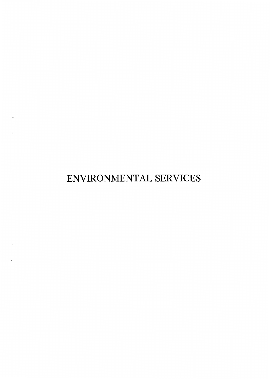ENVIRONMENTAL SERVICES

 $\bullet$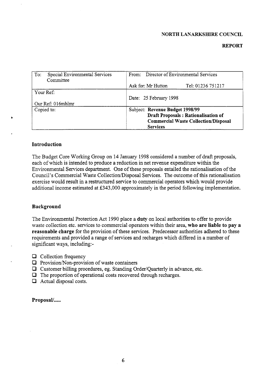#### **NORTH LANARKSHIRE COUNCIL**

#### **REPORT**

| Special Environmental Services<br>To:<br>Committee | From: Director of Environmental Services                                                                                                 |  |  |  |
|----------------------------------------------------|------------------------------------------------------------------------------------------------------------------------------------------|--|--|--|
|                                                    | Ask for: Mr Hutton<br>Tel: 01236 751217                                                                                                  |  |  |  |
| Your Ref:                                          |                                                                                                                                          |  |  |  |
|                                                    | Date: 25 February 1998                                                                                                                   |  |  |  |
| Our Ref: 016mhlmr                                  |                                                                                                                                          |  |  |  |
| Copied to:                                         | Subject: Revenue Budget 1998/99<br>Draft Proposals: Rationalisation of<br><b>Commercial Waste Collection/Disposal</b><br><b>Services</b> |  |  |  |

#### **Introduction**

The Budget Core Working Group on 14 January 1998 considered a number of draft proposals, each of which is intended to produce a reduction in net revenue expenditure within the Environmental Services department. One of these proposals entailed the rationalisation of the Council's Commercial Waste Collection/Disposal Services. The outcome of this rationalisation exercise would result in a restructured service to commercial operators which would provide additional income estimated at E343,OOO approximately in the period following implementation.

#### **Background**

The Environmental Protection Act 1990 place a **duty** on local authorities to offer to provide waste collection etc. services to commercial operators within their area, **who are liable to pay a reasonable charge** for the provision of these services. Predecessor authorities adhered to these requirements and provided a range of services and recharges which differed in a number of significant ways, including:-

- $\Box$  Collection frequency
- *D* Provision/Non-provision of waste containers
- *0* Customer billing procedures, eg. Standing Order/Quarterly in advance, etc.
- *0* The proportion of operational costs recovered through recharges.
- *0* Actual disposal costs.

Proposal/.....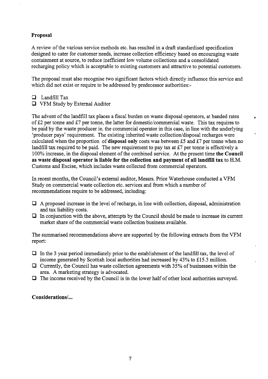## **Proposal**

**A** review of the various service methods etc. has resulted in a draft standardised specification designed to cater for customer needs, increase collection efficiency based on encouraging waste containment at source, to reduce inefficient low volume collections and a consolidated recharging policy which is acceptable to existing customers and attractive to potential customers.

The proposal must also recognise two significant factors which directly influence this service and which did not exist or require to be addressed by predecessor authorities:-

c3 LandfillTax

*0* VFM Study by External Auditor

The advent of the landfill tax places a fiscal burden on waste disposal operators, at banded rates of **E2** per tonne and **E7** per tonne, the latter for domestic/commercial waste. This tax requires to be paid by the waste producer ie. the commercial operator in this case, in line with the underlying 'producer pays' requirement. The existing inherited waste collection/disposal recharges were calculated when the proportion of **disposal only** costs was between **E5** and **&7** per tonne when no landfill tax required to be paid. The new requirement to pay tax at £7 per tonne is effectively a 100% increase, in the disposal element of the combined service. At the present time **the Council as waste disposal operator is liable for the collection and payment of all landfill tax** to H.M. Customs and Excise, which includes waste collected from commercial operators.

**4** 

In recent months, the Council's external auditor, Messrs. Price Waterhouse conducted a VFM Study on commercial waste collection etc. services and fiom which a number of recommendations require to be addressed, inciuding:

- *0* **A** proposed increase in the level of recharge, in line with collection, disposal, administration and tax liability costs.
- *0* In conjunction with the above, attempts by the Council should be made to increase its current market share of the commercial waste collection business available.

The summarised recommendations above are supported by the following extracts fiom the VFM report:

- *0* In the 3 year period immediately prior to the establishment of the landfill tax, the level of income generated by Scottish local authorities had increased by 43% to £15.3 million.
- *0* Currently, the Council has waste collection agreements with 35% of businesses within the area. A marketing strategy is advocated.
- *0* The income received by the Council is in the lower half of other local authorities surveyed.

**Considerations/...**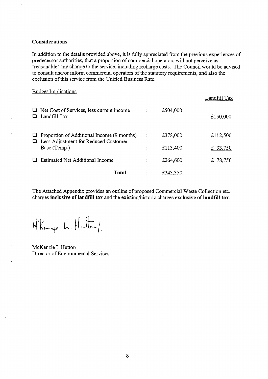#### **Considerations**

In addition to the details provided above, it is fully appreciated from the previous experiences of predecessor authorities, that a proportion of commercial operators will not perceive as 'reasonable' any change to the service, including recharge costs. The Council would be advised to consult and/or inform commercial operators of the statutory requirements, and also the exclusion of this service from the Unified Business Rate.

| <b>Budget Implications</b>                                                                                |                |          | Landfill Tax |
|-----------------------------------------------------------------------------------------------------------|----------------|----------|--------------|
| Net Cost of Services, less current income<br>Landfill Tax                                                 |                | £504,000 | £150,000     |
| Proportion of Additional Income (9 months)<br>$\Box$ Less Adjustment for Reduced Customer<br>Base (Temp.) | $\ddot{\cdot}$ | £378,000 | £112,500     |
|                                                                                                           |                | £113,400 | £ 33,750     |
| <b>Estimated Net Additional Income</b>                                                                    |                | £264,600 | £ 78,750     |
| <b>Total</b>                                                                                              |                | £343,350 |              |

The Attached Appendix provides an outline of proposed Commercial Waste Collection etc. charges **inclusive of landfill tax** and the existing/historic charges **exclusive of landfill tax**.

M'Kenje L. Hutton/

McKenzie L Hutton Director of Environmental Services

 $\mathbf{r}$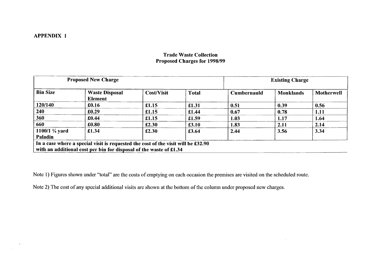$\sim 100$  km s  $^{-1}$ 

# **Trade Waste Collection Proposed Charges for 1998/99**

| <b>Proposed New Charge</b>                                                                                                                              |                                         |                   |              | <b>Existing Charge</b> |                  |                   |
|---------------------------------------------------------------------------------------------------------------------------------------------------------|-----------------------------------------|-------------------|--------------|------------------------|------------------|-------------------|
| <b>Bin Size</b>                                                                                                                                         | <b>Waste Disposal</b><br><b>Element</b> | <b>Cost/Visit</b> | <b>Total</b> | <b>Cumbernauld</b>     | <b>Monklands</b> | <b>Motherwell</b> |
| 120/140                                                                                                                                                 | £0.16                                   | £1.15             | £1.31        | 0.51                   | 0.39             | 0.56              |
| 240                                                                                                                                                     | £0.29                                   | £1.15             | £1.44        | 0.67                   | 0.78             | 1.11              |
| 360                                                                                                                                                     | £0.44                                   | £1.15             | £1.59        | 1.03                   | 1.17             | 1.64              |
| 660                                                                                                                                                     | £0.80                                   | £2.30             | £3.10        | 1.83                   | 2.11             | 2.14              |
| 1100/1 $\frac{1}{4}$ yard<br><b>Paladin</b>                                                                                                             | £1.34                                   | £2.30             | £3.64        | 2.44                   | 3.56             | 3.34              |
| In a case where a special visit is requested the cost of the visit will be £32.90<br>with an additional cost per bin for disposal of the waste of £1.34 |                                         |                   |              |                        |                  |                   |

Note 1) Figures shown under "total" are the costs of emptying on each occasion the premises are visited on the scheduled route.

Note 2) The cost **of** any special additional visits are shown at the bottom of the column under proposed new charges.

 $\sim 10$